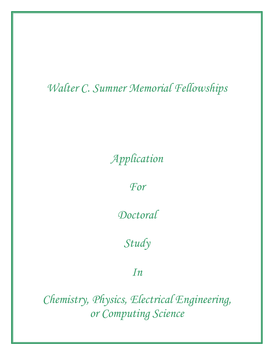# *Walter C. Sumner Memorial Fellowships*

*Application* 

*For* 

*Doctoral* 

*Study*

*In*

*Chemistry, Physics, Electrical Engineering, or Computing Science*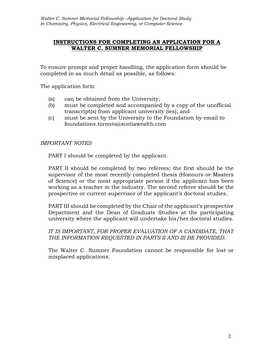#### **INSTRUCTIONS FOR COMPLETING AN APPLICATION FOR A WALTER C. SUMNER MEMORIAL FELLOWSHIP**

To ensure prompt and proper handling, the application form should be completed in as much detail as possible, as follows:

The application form

- (a) can be obtained from the University;
- (b) must be completed and accompanied by a copy of the unofficial transcript(s) from applicant university (ies); and
- (c) must be sent by the University to the Foundation by email to foundations.toronto@scotiawealth.com

#### *IMPORTANT NOTES*

PART I should be completed by the applicant.

PART II should be completed by two referees; the first should be the supervisor of the most recently completed thesis (Honours or Masters of Science) or the most appropriate person if the applicant has been working as a teacher in the industry. The second referee should be the prospective or current supervisor of the applicant's doctoral studies.

PART III should be completed by the Chair of the applicant's prospective Department and the Dean of Graduate Studies at the participating university where the applicant will undertake his/her doctoral studies.

*IT IS IMPORTANT, FOR PROPER EVALUATION OF A CANDIDATE, THAT THE INFORMATION REQUESTED IN PARTS II AND III BE PROVIDED.*

The Walter C. Sumner Foundation cannot be responsible for lost or misplaced applications.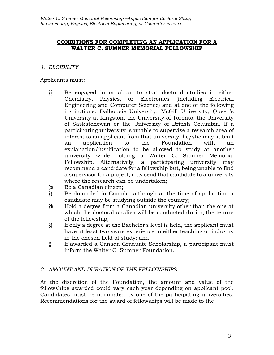#### **CONDITIONS FOR COMPLETING AN APPLICATION FOR A WALTER C. SUMNER MEMORIAL FELLOWSHIP**

#### *1. ELGIBILITY*

Applicants must:

- (a) Be engaged in or about to start doctoral studies in either Chemistry, Physics, or Electronics (including Electrical Engineering and Computer Science) and at one of the following institutions: Dalhousie University, McGill University, Queen's University at Kingston, the University of Toronto, the University of Saskatchewan or the University of British Columbia. If a participating university is unable to supervise a research area of interest to an applicant from that university, he/she may submit an application to the Foundation with an explanation/justification to be allowed to study at another university while holding a Walter C. Sumner Memorial Fellowship. Alternatively, a participating university may recommend a candidate for a fellowship but, being unable to find a supervisor for a project, may send that candidate to a university where the research can be undertaken;
- (b) Be a Canadian citizen;
- $\phi$  Be domiciled in Canada, although at the time of application a candidate may be studying outside the country;
- (d) Hold a degree from a Canadian university other than the one at which the doctoral studies will be conducted during the tenure of the fellowship;
- (e) If only a degree at the Bachelor's level is held, the applicant must have at least two years experience in either teaching or industry in the chosen field of study; and
- (f) If awarded a Canada Graduate Scholarship, a participant must inform the Walter C. Sumner Foundation.

# *2. AMOUNT AND DURATION OF THE FELLOWSHIPS*

At the discretion of the Foundation, the amount and value of the fellowships awarded could vary each year depending on applicant pool. Candidates must be nominated by one of the participating universities. Recommendations for the award of fellowships will be made to the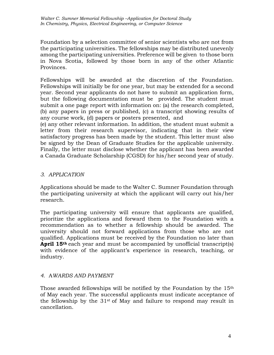Foundation by a selection committee of senior scientists who are not from the participating universities. The fellowships may be distributed unevenly among the participating universities. Preference will be given to those born in Nova Scotia, followed by those born in any of the other Atlantic Provinces.

Fellowships will be awarded at the discretion of the Foundation. Fellowships will initially be for one year, but may be extended for a second year. Second year applicants do not have to submit an application form, but the following documentation must be provided. The student must submit a one page report with information on: (a) the research completed, (b) any papers in press or published, (c) a transcript showing results of any course work, (d) papers or posters presented, and

(e) any other relevant information. In addition, the student must submit a letter from their research supervisor, indicating that in their view satisfactory progress has been made by the student. This letter must also be signed by the Dean of Graduate Studies for the applicable university. Finally, the letter must disclose whether the applicant has been awarded a Canada Graduate Scholarship (CGSD) for his/her second year of study.

# *3. APPLICATION*

Applications should be made to the Walter C. Sumner Foundation through the participating university at which the applicant will carry out his/her research.

The participating university will ensure that applicants are qualified, prioritize the applications and forward them to the Foundation with a recommendation as to whether a fellowship should be awarded. The university should not forward applications from those who are not qualified. Applications must be received by the Foundation no later than **April 15th** each year and must be accompanied by unofficial transcript(s) with evidence of the applicant's experience in research, teaching, or industry.

# *4.* A*WARDS AND PAYMENT*

Those awarded fellowships will be notified by the Foundation by the 15<sup>th</sup> of May each year. The successful applicants must indicate acceptance of the fellowship by the  $31<sup>st</sup>$  of May and failure to respond may result in cancellation.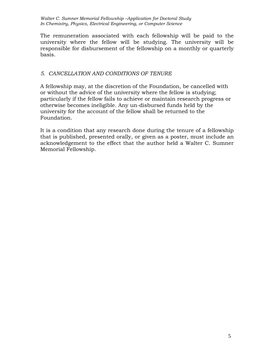The remuneration associated with each fellowship will be paid to the university where the fellow will be studying. The university will be responsible for disbursement of the fellowship on a monthly or quarterly basis.

# *5. CANCELLATION AND CONDITIONS OF TENURE*

A fellowship may, at the discretion of the Foundation, be cancelled with or without the advice of the university where the fellow is studying; particularly if the fellow fails to achieve or maintain research progress or otherwise becomes ineligible. Any un-disbursed funds held by the university for the account of the fellow shall be returned to the Foundation.

It is a condition that any research done during the tenure of a fellowship that is published, presented orally, or given as a poster, must include an acknowledgement to the effect that the author held a Walter C. Sumner Memorial Fellowship.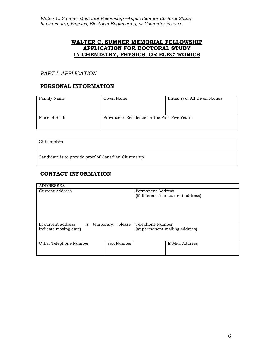# **WALTER C. SUMNER MEMORIAL FELLOWSHIP APPLICATION FOR DOCTORAL STUDY IN CHEMISTRY, PHYSICS, OR ELECTRONICS**

#### *PART I: APPLICATION*

#### **PERSONAL INFORMATION**

| Family Name    | Given Name                                    | Initial(s) of All Given Names |
|----------------|-----------------------------------------------|-------------------------------|
| Place of Birth | Province of Residence for the Past Five Years |                               |

| Citizenship                                            |
|--------------------------------------------------------|
| Candidate is to provide proof of Canadian Citizenship. |

# **CONTACT INFORMATION**

| <b>ADDRESSES</b>                                |        |                                |                                     |  |
|-------------------------------------------------|--------|--------------------------------|-------------------------------------|--|
| Current Address                                 |        | Permanent Address              |                                     |  |
|                                                 |        |                                | (if different from current address) |  |
|                                                 |        |                                |                                     |  |
|                                                 |        |                                |                                     |  |
|                                                 |        |                                |                                     |  |
|                                                 |        |                                |                                     |  |
|                                                 |        |                                |                                     |  |
| <i>(if current address)</i><br>temporary,<br>is | please |                                | Telephone Number                    |  |
| indicate moving date)                           |        | (at permanent mailing address) |                                     |  |
|                                                 |        |                                |                                     |  |
|                                                 |        |                                |                                     |  |
| Fax Number<br>Other Telephone Number            |        |                                | E-Mail Address                      |  |
|                                                 |        |                                |                                     |  |
|                                                 |        |                                |                                     |  |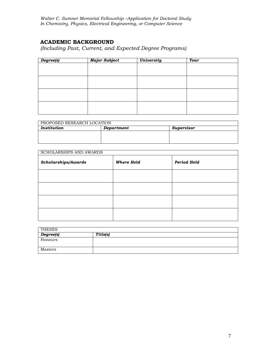*Walter C. Sumner Memorial Fellowship –Application for Doctoral Study In Chemistry, Physics, Electrical Engineering, or Computer Science*

# **ACADEMIC BACKGROUND**

*(Including Past, Current, and Expected Degree Programs)*

| Degree(s) | <b>Major Subject</b> | <b>University</b> | <b>Year</b> |  |
|-----------|----------------------|-------------------|-------------|--|
|           |                      |                   |             |  |
|           |                      |                   |             |  |
|           |                      |                   |             |  |
|           |                      |                   |             |  |
|           |                      |                   |             |  |
|           |                      |                   |             |  |
|           |                      |                   |             |  |
|           |                      |                   |             |  |

| PROPOSED RESEARCH LOCATION              |  |  |  |  |  |
|-----------------------------------------|--|--|--|--|--|
| Institution<br>Department<br>Supervisor |  |  |  |  |  |
|                                         |  |  |  |  |  |
|                                         |  |  |  |  |  |
|                                         |  |  |  |  |  |

| <b>SCHOLARSHIPS AND AWARDS</b> |                   |             |  |
|--------------------------------|-------------------|-------------|--|
| Scholarships/Awards            | <b>Where Held</b> | Period Held |  |
|                                |                   |             |  |
|                                |                   |             |  |
|                                |                   |             |  |
|                                |                   |             |  |

| <b>THESES</b> |          |
|---------------|----------|
| Degree(s)     | Title(s) |
| Honours       |          |
| Masters       |          |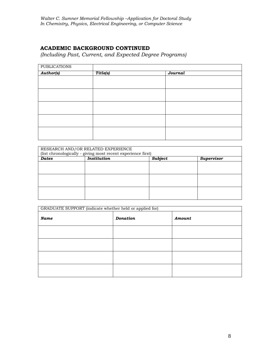# **ACADEMIC BACKGROUND CONTINUED**

*(Including Past, Current, and Expected Degree Programs)*

| <b>PUBLICATIONS</b> |          |         |  |
|---------------------|----------|---------|--|
| <b>Author(s)</b>    | Title(s) | Journal |  |
|                     |          |         |  |
|                     |          |         |  |
|                     |          |         |  |
|                     |          |         |  |
|                     |          |         |  |
|                     |          |         |  |
|                     |          |         |  |
|                     |          |         |  |
|                     |          |         |  |
|                     |          |         |  |

| RESEARCH AND/OR RELATED EXPERIENCE<br>(list chronologically - giving most recent experience first) |                    |         |                   |  |
|----------------------------------------------------------------------------------------------------|--------------------|---------|-------------------|--|
| <b>Dates</b>                                                                                       | <b>Institution</b> | Subject | <b>Supervisor</b> |  |
|                                                                                                    |                    |         |                   |  |
|                                                                                                    |                    |         |                   |  |
|                                                                                                    |                    |         |                   |  |
|                                                                                                    |                    |         |                   |  |
|                                                                                                    |                    |         |                   |  |
|                                                                                                    |                    |         |                   |  |
|                                                                                                    |                    |         |                   |  |
|                                                                                                    |                    |         |                   |  |
|                                                                                                    |                    |         |                   |  |

| GRADUATE SUPPORT (indicate whether held or applied for) |                 |        |  |  |
|---------------------------------------------------------|-----------------|--------|--|--|
| <b>Name</b>                                             | <b>Donation</b> | Amount |  |  |
|                                                         |                 |        |  |  |
|                                                         |                 |        |  |  |
|                                                         |                 |        |  |  |
|                                                         |                 |        |  |  |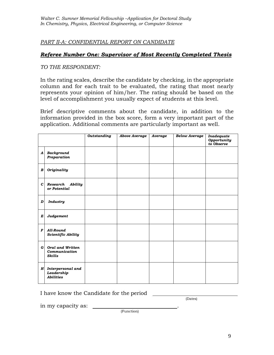# *PART II-A: CONFIDENTIAL REPORT ON CANDIDATE*

# *Referee Number One: Supervisor of Most Recently Completed Thesis*

*TO THE RESPONDENT:*

In the rating scales, describe the candidate by checking, in the appropriate column and for each trait to be evaluated, the rating that most nearly represents your opinion of him/her. The rating should be based on the level of accomplishment you usually expect of students at this level.

Brief descriptive comments about the candidate, in addition to the information provided in the box score, form a very important part of the application. Additional comments are particularly important as well.

|                  |                                                           | <b>Outstanding</b> | <b>Above Average</b> | Average | <b>Below Average</b> | Inadequate<br>Opportunity<br>to Observe |
|------------------|-----------------------------------------------------------|--------------------|----------------------|---------|----------------------|-----------------------------------------|
| $\boldsymbol{A}$ | <b>Background</b><br>Preparation                          |                    |                      |         |                      |                                         |
| B                | Originality                                               |                    |                      |         |                      |                                         |
| $\mathbf{C}$     | Research<br>Ability<br>or Potential                       |                    |                      |         |                      |                                         |
| D                | <b>Industry</b>                                           |                    |                      |         |                      |                                         |
| E                | Judgement                                                 |                    |                      |         |                      |                                         |
| F                | All-Round<br><b>Scientific Ability</b>                    |                    |                      |         |                      |                                         |
| G                | <b>Oral and Written</b><br>Communication<br><b>Skills</b> |                    |                      |         |                      |                                         |
| $H_{\parallel}$  | Interpersonal and<br>Leadership<br><b>Abilities</b>       |                    |                      |         |                      |                                         |

I have know the Candidate for the period

(Dates)

in my capacity as:

(Function)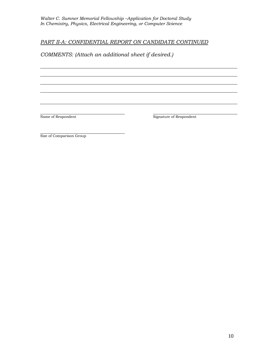# *PART II-A: CONFIDENTIAL REPORT ON CANDIDATE CONTINUED*

# *COMMENTS: (Attach an additional sheet if desired.)*

Name of Respondent Name of Respondent

Size of Comparison Group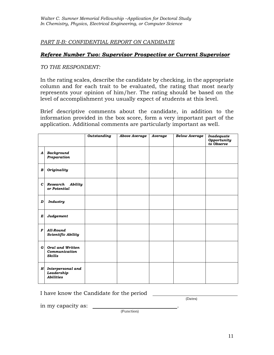*PART II-B: CONFIDENTIAL REPORT ON CANDIDATE*

#### *Referee Number Two: Supervisor Prospective or Current Supervisor*

*TO THE RESPONDENT:*

In the rating scales, describe the candidate by checking, in the appropriate column and for each trait to be evaluated, the rating that most nearly represents your opinion of him/her. The rating should be based on the level of accomplishment you usually expect of students at this level.

Brief descriptive comments about the candidate, in addition to the information provided in the box score, form a very important part of the application. Additional comments are particularly important as well.

|                  |                                                           | <b>Outstanding</b> | <b>Above Average</b> | Average | <b>Below Average</b> | Inadequate<br>Opportunity<br>to Observe |
|------------------|-----------------------------------------------------------|--------------------|----------------------|---------|----------------------|-----------------------------------------|
| $\boldsymbol{A}$ | <b>Background</b><br>Preparation                          |                    |                      |         |                      |                                         |
| B                | Originality                                               |                    |                      |         |                      |                                         |
| $\mathbf{C}$     | Research<br>Ability<br>or Potential                       |                    |                      |         |                      |                                         |
| D                | <b>Industry</b>                                           |                    |                      |         |                      |                                         |
| E                | Judgement                                                 |                    |                      |         |                      |                                         |
| $\boldsymbol{F}$ | All-Round<br><b>Scientific Ability</b>                    |                    |                      |         |                      |                                         |
| $\mathbf{G}$     | <b>Oral and Written</b><br>Communication<br><b>Skills</b> |                    |                      |         |                      |                                         |
|                  | H Interpersonal and<br>Leadership<br><b>Abilities</b>     |                    |                      |         |                      |                                         |

I have know the Candidate for the period

(Dates)

in my capacity as:

(Function)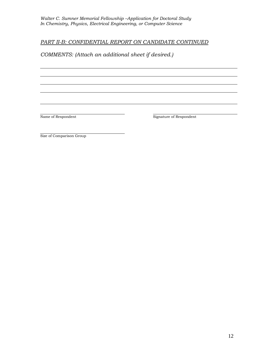# *PART II-B: CONFIDENTIAL REPORT ON CANDIDATE CONTINUED*

*COMMENTS: (Attach an additional sheet if desired.)*

Name of Respondent Name of Respondent

Size of Comparison Group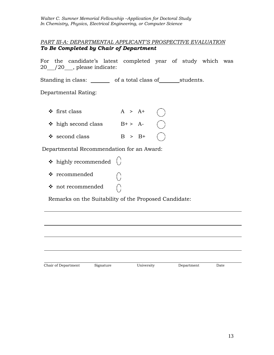*Walter C. Sumner Memorial Fellowship –Application for Doctoral Study In Chemistry, Physics, Electrical Engineering, or Computer Science*

# *PART III-A: DEPARTMENTAL APPLICANT'S PROSPECTIVE EVALUATION To Be Completed by Chair of Department*

For the candidate's latest completed year of study which was  $20 \t/20$ , please indicate:

Standing in class: \_\_\_\_\_\_\_\_ of a total class of \_\_\_\_\_\_\_students.

Departmental Rating:

 $\div$  first class  $A > A^+$  $\div$  high second class  $B^+ > A^ \div$  second class B > B+

Departmental Recommendation for an Award:

- $\triangleq$  highly recommended  $\langle \rangle$
- ❖ recommended
- ❖ not recommended

Remarks on the Suitability of the Proposed Candidate:

| Chair of Department | Signature | University | Department | Date |  |
|---------------------|-----------|------------|------------|------|--|
|                     |           |            |            |      |  |
|                     |           |            |            |      |  |